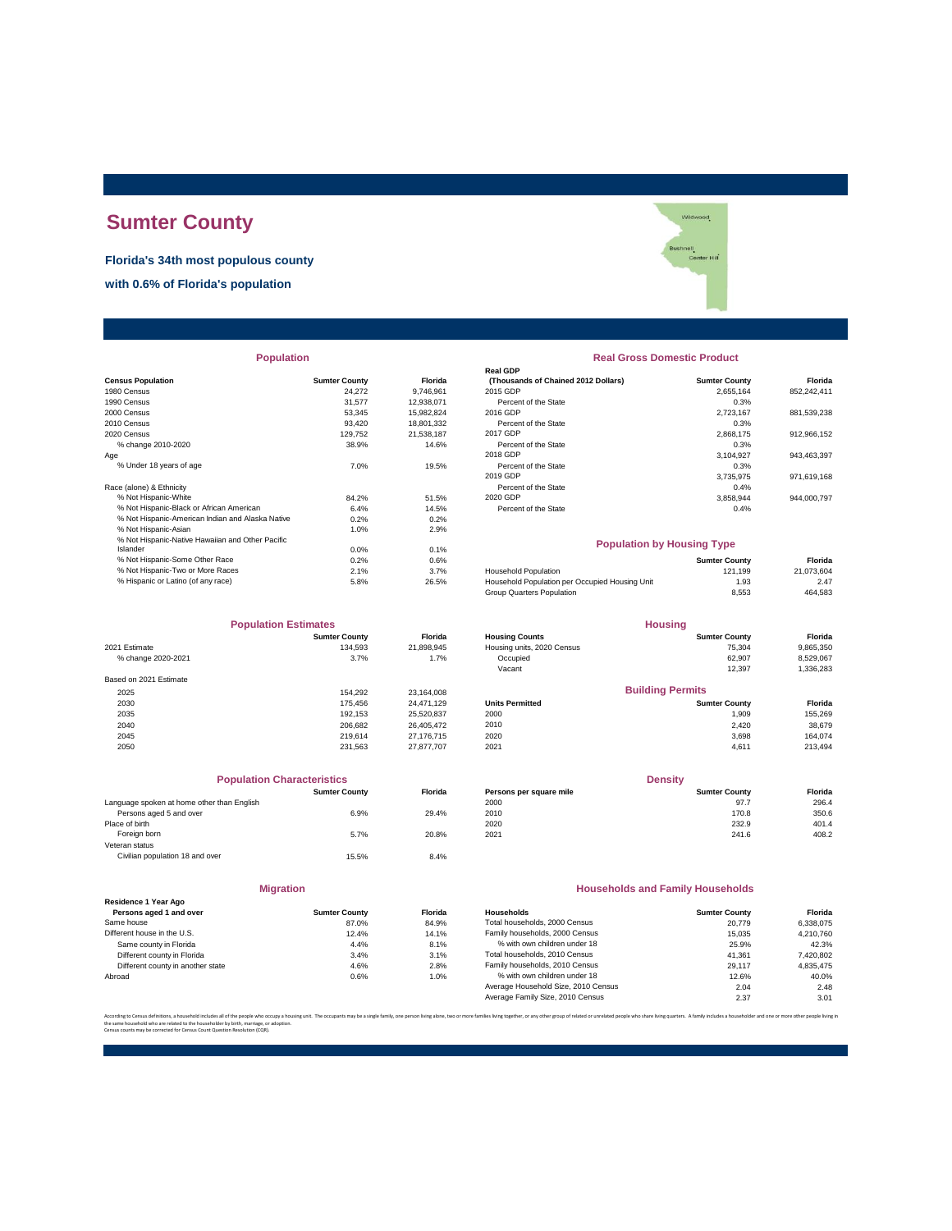# **Sumter County**

**Florida's 34th most populous county**

**with 0.6% of Florida's population**

|                                                  |                      |            | Real GDP                                       |                      |             |
|--------------------------------------------------|----------------------|------------|------------------------------------------------|----------------------|-------------|
| <b>Census Population</b>                         | <b>Sumter County</b> | Florida    | (Thousands of Chained 2012 Dollars)            | <b>Sumter County</b> | Florida     |
| 1980 Census                                      | 24,272               | 9.746.961  | 2015 GDP                                       | 2.655.164            | 852,242,411 |
| 1990 Census                                      | 31,577               | 12,938,071 | Percent of the State                           | 0.3%                 |             |
| 2000 Census                                      | 53.345               | 15,982,824 | 2016 GDP                                       | 2,723,167            | 881,539,238 |
| 2010 Census                                      | 93,420               | 18,801,332 | Percent of the State                           | 0.3%                 |             |
| 2020 Census                                      | 129.752              | 21.538.187 | 2017 GDP                                       | 2,868,175            | 912,966,152 |
| % change 2010-2020                               | 38.9%                | 14.6%      | Percent of the State                           | 0.3%                 |             |
| Age                                              |                      |            | 2018 GDP                                       | 3,104,927            | 943,463,397 |
| % Under 18 years of age                          | 7.0%                 | 19.5%      | Percent of the State                           | 0.3%                 |             |
|                                                  |                      |            | 2019 GDP                                       | 3,735,975            | 971,619,168 |
| Race (alone) & Ethnicity                         |                      |            | Percent of the State                           | 0.4%                 |             |
| % Not Hispanic-White                             | 84.2%                | 51.5%      | 2020 GDP                                       | 3,858,944            | 944,000,797 |
| % Not Hispanic-Black or African American         | 6.4%                 | 14.5%      | Percent of the State                           | 0.4%                 |             |
| % Not Hispanic-American Indian and Alaska Native | 0.2%                 | 0.2%       |                                                |                      |             |
| % Not Hispanic-Asian                             | 1.0%                 | 2.9%       |                                                |                      |             |
| % Not Hispanic-Native Hawaiian and Other Pacific |                      |            | <b>Population by Housing Type</b>              |                      |             |
| Islander                                         | 0.0%                 | 0.1%       |                                                |                      |             |
| % Not Hispanic-Some Other Race                   | 0.2%                 | 0.6%       |                                                | <b>Sumter County</b> | Florida     |
| % Not Hispanic-Two or More Races                 | 2.1%                 | 3.7%       | <b>Household Population</b>                    | 121.199              | 21,073,604  |
| % Hispanic or Latino (of any race)               | 5.8%                 | 26.5%      | Household Population per Occupied Housing Unit | 1.93                 | 2.47        |
|                                                  |                      |            |                                                |                      |             |

| <b>Population Estimates</b> |                      | <b>Housing</b> |                            |                         |           |
|-----------------------------|----------------------|----------------|----------------------------|-------------------------|-----------|
|                             | <b>Sumter County</b> | <b>Florida</b> | <b>Housing Counts</b>      | <b>Sumter County</b>    | Florida   |
| 2021 Estimate               | 134.593              | 21,898,945     | Housing units, 2020 Census | 75,304                  | 9,865,350 |
| % change 2020-2021          | 3.7%                 | 1.7%           | Occupied                   | 62.907                  | 8,529,067 |
|                             |                      |                | Vacant                     | 12,397                  | 1,336,283 |
| Based on 2021 Estimate      |                      |                |                            |                         |           |
| 2025                        | 154.292              | 23,164,008     |                            | <b>Building Permits</b> |           |
| 2030                        | 175.456              | 24.471.129     | <b>Units Permitted</b>     | <b>Sumter County</b>    | Florida   |
| 2035                        | 192.153              | 25,520,837     | 2000                       | 1.909                   | 155,269   |
| 2040                        | 206.682              | 26.405.472     | 2010                       | 2,420                   | 38,679    |
| 2045                        | 219.614              | 27.176.715     | 2020                       | 3.698                   | 164.074   |
| 2050                        | 231.563              | 27.877.707     | 2021                       | 4,611                   | 213,494   |

| <b>Population Characteristics</b>          |                      |         |
|--------------------------------------------|----------------------|---------|
|                                            | <b>Sumter County</b> | Florida |
| Language spoken at home other than English |                      |         |
| Persons aged 5 and over                    | 6.9%                 | 29.4%   |
| Place of birth                             |                      |         |
| Foreign born                               | 5.7%                 | 20.8%   |
| Veteran status                             |                      |         |
| Civilian population 18 and over            | 15.5%                | 8.4%    |

| <b>Migration</b>                                |                      |       |
|-------------------------------------------------|----------------------|-------|
| Residence 1 Year Ago<br>Persons aged 1 and over | <b>Sumter County</b> | Flori |
| Same house                                      | 87.0%                | 84.9  |
| Different house in the U.S.                     | 12.4%                | 14.1  |
| Same county in Florida                          | 4.4%                 | 8.1   |
| Different county in Florida                     | 3.4%                 | 3.1   |
| Different county in another state               | 4.6%                 | 2.8   |
| Abroad                                          | 0.6%                 | 1.(   |

| <b>Population</b>                                |                      |                | <b>Real Gross Domestic Product</b>  |                      |             |  |
|--------------------------------------------------|----------------------|----------------|-------------------------------------|----------------------|-------------|--|
|                                                  |                      |                | <b>Real GDP</b>                     |                      |             |  |
| sus Population                                   | <b>Sumter County</b> | <b>Florida</b> | (Thousands of Chained 2012 Dollars) | <b>Sumter County</b> | Florida     |  |
| 0 Census                                         | 24.272               | 9.746.961      | 2015 GDP                            | 2.655.164            | 852,242,411 |  |
| 0 Census                                         | 31.577               | 12.938.071     | Percent of the State                | 0.3%                 |             |  |
| 0 Census                                         | 53.345               | 15.982.824     | 2016 GDP                            | 2.723.167            | 881,539,238 |  |
| 0 Census                                         | 93.420               | 18.801.332     | Percent of the State                | 0.3%                 |             |  |
| 0 Census                                         | 129.752              | 21.538.187     | 2017 GDP                            | 2.868.175            | 912,966,152 |  |
| % change 2010-2020                               | 38.9%                | 14.6%          | Percent of the State                | 0.3%                 |             |  |
|                                                  |                      |                | 2018 GDP                            | 3.104.927            | 943,463,397 |  |
| % Under 18 vears of age                          | 7.0%                 | 19.5%          | Percent of the State                | 0.3%                 |             |  |
|                                                  |                      |                | 2019 GDP                            | 3.735.975            | 971,619,168 |  |
| e (alone) & Ethnicity                            |                      |                | Percent of the State                | 0.4%                 |             |  |
| % Not Hispanic-White                             | 84.2%                | 51.5%          | 2020 GDP                            | 3.858.944            | 944.000.797 |  |
| % Not Hispanic-Black or African American         | 6.4%                 | 14.5%          | Percent of the State                | 0.4%                 |             |  |
| % Not Hispanic-American Indian and Alaska Native | 0.2%                 | 0.2%           |                                     |                      |             |  |

## **Population by Housing Type**

| % Not Hispanic-Some Other Race     | 0.2% | $0.6\%$ |                                                | <b>Sumter County</b> | Florida    |
|------------------------------------|------|---------|------------------------------------------------|----------------------|------------|
| % Not Hispanic-Two or More Races   | 2.1% | 3.7%    | <b>Household Population</b>                    | 121.199              | 21.073.604 |
| % Hispanic or Latino (of any race) | 5.8% | 26.5%   | Household Population per Occupied Housing Unit | 1.93                 | 2.47       |
|                                    |      |         | Group Quarters Population                      | 8.553                | 464.583    |

| <b>Population Estimates</b> |                      | <b>Housing</b> |                            |                         |           |
|-----------------------------|----------------------|----------------|----------------------------|-------------------------|-----------|
|                             | <b>Sumter County</b> | <b>Florida</b> | <b>Housing Counts</b>      | <b>Sumter County</b>    | Florida   |
| 2021 Estimate               | 134.593              | 21.898.945     | Housing units, 2020 Census | 75.304                  | 9,865,350 |
| % change 2020-2021          | 3.7%                 | 1.7%           | Occupied                   | 62.907                  | 8.529.067 |
|                             |                      |                | Vacant                     | 12.397                  | 1,336,283 |
| Based on 2021 Estimate      |                      |                |                            |                         |           |
| 2025                        | 154.292              | 23.164.008     |                            | <b>Building Permits</b> |           |
| 2030                        | 175.456              | 24.471.129     | <b>Units Permitted</b>     | <b>Sumter County</b>    | Florida   |
| 2035                        | 192.153              | 25,520,837     | 2000                       | 1.909                   | 155,269   |
| 2040                        | 206.682              | 26.405.472     | 2010                       | 2.420                   | 38,679    |
|                             |                      |                |                            |                         |           |

| <b>Population Characteristics</b> |         |                         | <b>Density</b>       |         |  |
|-----------------------------------|---------|-------------------------|----------------------|---------|--|
| <b>Sumter County</b>              | Florida | Persons per square mile | <b>Sumter County</b> | Florida |  |
|                                   |         | 2000                    | 97.7                 | 296.4   |  |
| 6.9%                              | 29.4%   | 2010                    | 170.8                | 350.6   |  |
|                                   |         | 2020                    | 232.9                | 401.4   |  |
| 5.7%                              | 20.8%   | 2021                    | 241.6                | 408.2   |  |
|                                   |         |                         |                      |         |  |

## **Households and Family Households**

| <b>Sumter County</b> | <b>Florida</b> | Households                          | <b>Sumter County</b> | Florida   |
|----------------------|----------------|-------------------------------------|----------------------|-----------|
| 87.0%                | 84.9%          | Total households, 2000 Census       | 20.779               | 6.338.075 |
| 12.4%                | 14.1%          | Family households, 2000 Census      | 15.035               | 4.210.760 |
| 4.4%                 | 8.1%           | % with own children under 18        | 25.9%                | 42.3%     |
| 3.4%                 | 3.1%           | Total households, 2010 Census       | 41.361               | 7,420,802 |
| 4.6%                 | 2.8%           | Family households, 2010 Census      | 29.117               | 4.835.475 |
| 0.6%                 | 1.0%           | % with own children under 18        | 12.6%                | 40.0%     |
|                      |                | Average Household Size, 2010 Census | 2.04                 | 2.48      |
|                      |                | Average Family Size, 2010 Census    | 2.37                 | 3.01      |
|                      |                |                                     |                      |           |

.<br>ilies living together, or any other group of related or unrelated people who share living quarters. A family includes a householder and one or more other pe the same household who are related to the householder by birth, marriage, or adoption. Census counts may be corrected for Census Count Question Resolution (CQR).

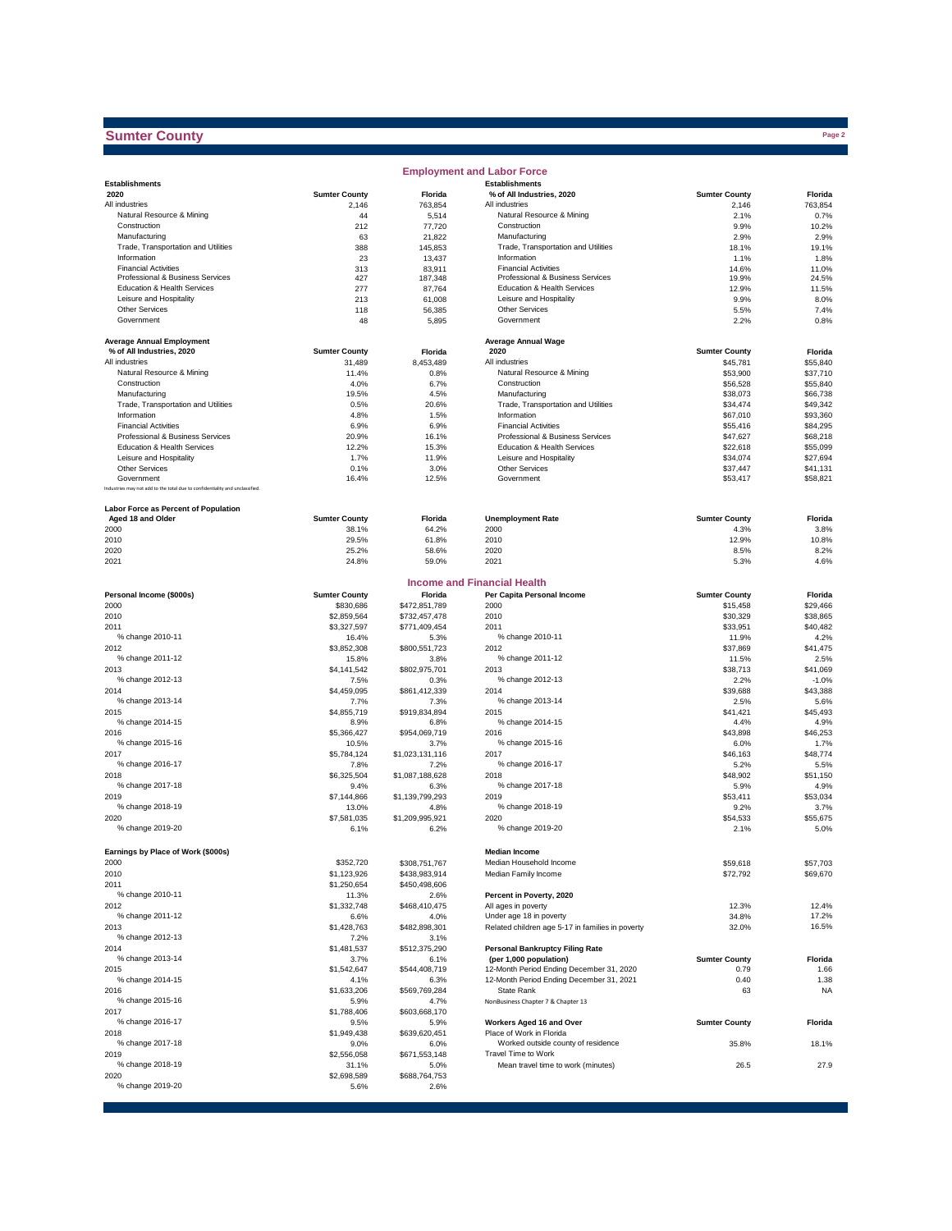## **Sumter County**

|                                                                              |                            |                         | <b>Employment and Labor Force</b>                      |                      |                      |
|------------------------------------------------------------------------------|----------------------------|-------------------------|--------------------------------------------------------|----------------------|----------------------|
| <b>Establishments</b>                                                        |                            |                         | <b>Establishments</b>                                  |                      |                      |
| 2020                                                                         | <b>Sumter County</b>       | Florida                 | % of All Industries, 2020                              | <b>Sumter County</b> | Florida              |
| All industries<br>Natural Resource & Mining                                  | 2,146<br>44                | 763,854<br>5,514        | All industries<br>Natural Resource & Mining            | 2,146<br>2.1%        | 763,854<br>0.7%      |
| Construction                                                                 | 212                        | 77,720                  | Construction                                           | 9.9%                 | 10.2%                |
| Manufacturing                                                                | 63                         | 21,822                  | Manufacturing                                          | 2.9%                 | 2.9%                 |
| Trade, Transportation and Utilities                                          | 388                        | 145,853                 | Trade, Transportation and Utilities                    | 18.1%                | 19.1%                |
| Information                                                                  | 23                         | 13,437                  | Information                                            | 1.1%                 | 1.8%                 |
| <b>Financial Activities</b>                                                  | 313                        | 83,911                  | <b>Financial Activities</b>                            | 14.6%                | 11.0%                |
| Professional & Business Services                                             | 427                        | 187,348                 | Professional & Business Services                       | 19.9%                | 24.5%                |
| Education & Health Services<br>Leisure and Hospitality                       | 277                        | 87,764                  | Education & Health Services<br>Leisure and Hospitality | 12.9%                | 11.5%                |
| <b>Other Services</b>                                                        | 213<br>118                 | 61,008<br>56,385        | <b>Other Services</b>                                  | 9.9%<br>5.5%         | 8.0%<br>7.4%         |
| Government                                                                   | 48                         | 5,895                   | Government                                             | 2.2%                 | 0.8%                 |
|                                                                              |                            |                         |                                                        |                      |                      |
| <b>Average Annual Employment</b>                                             |                            |                         | <b>Average Annual Wage</b>                             |                      |                      |
| % of All Industries, 2020                                                    | <b>Sumter County</b>       | Florida                 | 2020                                                   | <b>Sumter County</b> | Florida              |
| All industries                                                               | 31,489                     | 8,453,489               | All industries                                         | \$45,781             | \$55,840             |
| Natural Resource & Mining                                                    | 11.4%                      | 0.8%                    | Natural Resource & Mining                              | \$53,900             | \$37,710             |
| Construction                                                                 | 4.0%                       | 6.7%                    | Construction                                           | \$56,528             | \$55,840             |
| Manufacturing                                                                | 19.5%                      | 4.5%                    | Manufacturing                                          | \$38,073             | \$66,738             |
| Trade, Transportation and Utilities<br>Information                           | 0.5%<br>4.8%               | 20.6%<br>1.5%           | Trade, Transportation and Utilities<br>Information     | \$34,474<br>\$67,010 | \$49,342<br>\$93,360 |
| <b>Financial Activities</b>                                                  | 6.9%                       | 6.9%                    | <b>Financial Activities</b>                            | \$55,416             | \$84,295             |
| Professional & Business Services                                             | 20.9%                      | 16.1%                   | Professional & Business Services                       | \$47,627             | \$68,218             |
| Education & Health Services                                                  | 12.2%                      | 15.3%                   | Education & Health Services                            | \$22,618             | \$55,099             |
| Leisure and Hospitality                                                      | 1.7%                       | 11.9%                   | Leisure and Hospitality                                | \$34,074             | \$27,694             |
| <b>Other Services</b>                                                        | 0.1%                       | 3.0%                    | Other Services                                         | \$37,447             | \$41,131             |
| Government                                                                   | 16.4%                      | 12.5%                   | Government                                             | \$53,417             | \$58,821             |
| Industries may not add to the total due to confidentiality and unclassified. |                            |                         |                                                        |                      |                      |
| Labor Force as Percent of Population                                         |                            |                         |                                                        |                      |                      |
| Aged 18 and Older                                                            | <b>Sumter County</b>       | Florida                 | <b>Unemployment Rate</b>                               | <b>Sumter County</b> | Florida              |
| 2000                                                                         | 38.1%                      | 64.2%                   | 2000                                                   | 4.3%                 | 3.8%                 |
| 2010                                                                         | 29.5%                      | 61.8%                   | 2010                                                   | 12.9%                | 10.8%                |
| 2020                                                                         | 25.2%                      | 58.6%                   | 2020                                                   | 8.5%                 | 8.2%                 |
| 2021                                                                         | 24.8%                      | 59.0%                   | 2021                                                   | 5.3%                 | 4.6%                 |
|                                                                              |                            |                         | Income and Financial Health                            |                      |                      |
| Personal Income (\$000s)                                                     | <b>Sumter County</b>       | Florida                 | Per Capita Personal Income                             | <b>Sumter County</b> | Florida              |
| 2000                                                                         | \$830,686                  | \$472,851,789           | 2000                                                   | \$15,458             | \$29,466             |
| 2010                                                                         | \$2,859,564                | \$732,457,478           | 2010                                                   | \$30,329             | \$38,865             |
| 2011                                                                         | \$3,327,597                | \$771,409,454           | 2011                                                   | \$33,951             | \$40,482             |
| % change 2010-11                                                             | 16.4%                      | 5.3%                    | % change 2010-11                                       | 11.9%                | 4.2%                 |
| 2012<br>% change 2011-12                                                     | \$3,852,308<br>15.8%       | \$800,551,723<br>3.8%   | 2012<br>% change 2011-12                               | \$37,869<br>11.5%    | \$41,475<br>2.5%     |
| 2013                                                                         | \$4,141,542                | \$802,975,701           | 2013                                                   | \$38,713             | \$41,069             |
| % change 2012-13                                                             | 7.5%                       | 0.3%                    | % change 2012-13                                       | 2.2%                 | $-1.0%$              |
| 2014                                                                         | \$4,459,095                | \$861,412,339           | 2014                                                   | \$39,688             | \$43,388             |
| % change 2013-14                                                             | 7.7%                       | 7.3%                    | % change 2013-14                                       | 2.5%                 | 5.6%                 |
| 2015                                                                         | \$4,855,719                | \$919,834,894           | 2015                                                   | \$41,421             | \$45,493             |
| % change 2014-15                                                             | 8.9%                       | 6.8%                    | % change 2014-15                                       | 4.4%                 | 4.9%                 |
| 2016                                                                         | \$5,366,427                | \$954,069,719           | 2016                                                   | \$43,898             | \$46,253             |
| % change 2015-16                                                             | 10.5%                      | 3.7%                    | % change 2015-16                                       | 6.0%                 | 1.7%                 |
| 2017                                                                         | \$5,784,124                | \$1,023,131,116         | 2017                                                   | \$46,163             | \$48,774             |
| % change 2016-17                                                             | 7.8%                       | 7.2%                    | % change 2016-17                                       | 5.2%                 | 5.5%                 |
| 2018                                                                         | \$6,325,504                | \$1,087,188,628         | 2018                                                   | \$48,902             | \$51,150             |
| % change 2017-18                                                             | 9.4%                       | 6.3%                    | % change 2017-18                                       | 5.9%                 | 4.9%                 |
| 2019<br>% change 2018-19                                                     | \$7,144,866                | \$1,139,799,293         | 2019<br>% change 2018-19                               | \$53,411             | \$53,034             |
| 2020                                                                         | 13.0%<br>\$7.581.035       | 4.8%<br>\$1,209,995,921 | 2020                                                   | 9.2%<br>\$54,533     | 3.7%<br>\$55,675     |
| % change 2019-20                                                             | 6.1%                       | 6.2%                    | % change 2019-20                                       | 2.1%                 | 5.0%                 |
|                                                                              |                            |                         |                                                        |                      |                      |
| Earnings by Place of Work (\$000s)                                           |                            |                         | <b>Median Income</b>                                   |                      |                      |
| 2000                                                                         | \$352,720                  | \$308,751,767           | Median Household Income                                | \$59,618             | \$57,703             |
| 2010                                                                         | \$1,123,926<br>\$1,250,654 | \$438,983,914           | Median Family Income                                   | \$72,792             | \$69,670             |
| 2011<br>% change 2010-11                                                     | 11.3%                      | \$450,498,606<br>2.6%   | Percent in Poverty, 2020                               |                      |                      |
| 2012                                                                         | \$1,332,748                | \$468,410,475           | All ages in poverty                                    | 12.3%                | 12.4%                |
| % change 2011-12                                                             | 6.6%                       | 4.0%                    | Under age 18 in poverty                                | 34.8%                | 17.2%                |
| 2013                                                                         | \$1,428,763                | \$482,898,301           | Related children age 5-17 in families in poverty       | 32.0%                | 16.5%                |
| % change 2012-13                                                             | 7.2%                       | 3.1%                    |                                                        |                      |                      |
| 2014                                                                         | \$1,481,537                | \$512,375,290           | <b>Personal Bankruptcy Filing Rate</b>                 |                      |                      |
| % change 2013-14                                                             | 3.7%                       | 6.1%                    | (per 1,000 population)                                 | <b>Sumter County</b> | Florida              |
| 2015                                                                         | \$1,542,647                | \$544,408,719           | 12-Month Period Ending December 31, 2020               | 0.79                 | 1.66                 |
| % change 2014-15                                                             | 4.1%                       | 6.3%                    | 12-Month Period Ending December 31, 2021               | 0.40                 | 1.38                 |
| 2016                                                                         | \$1,633,206                | \$569,769,284           | State Rank                                             | 63                   | <b>NA</b>            |
| % change 2015-16                                                             | 5.9%                       | 4.7%                    | NonBusiness Chapter 7 & Chapter 13                     |                      |                      |
| 2017                                                                         | \$1,788,406                | \$603,668,170           |                                                        |                      |                      |
| % change 2016-17                                                             | 9.5%                       | 5.9%                    | Workers Aged 16 and Over<br>Place of Work in Florida   | <b>Sumter County</b> | Florida              |
| 2018<br>% change 2017-18                                                     | \$1,949,438<br>9.0%        | \$639,620,451<br>6.0%   | Worked outside county of residence                     | 35.8%                | 18.1%                |
| 2019                                                                         | \$2,556,058                | \$671,553,148           | Travel Time to Work                                    |                      |                      |
| % change 2018-19                                                             | 31.1%                      | 5.0%                    | Mean travel time to work (minutes)                     | 26.5                 | 27.9                 |
| 2020                                                                         | \$2,698,589                | \$688,764,753           |                                                        |                      |                      |
| % change 2019-20                                                             | 5.6%                       | 2.6%                    |                                                        |                      |                      |